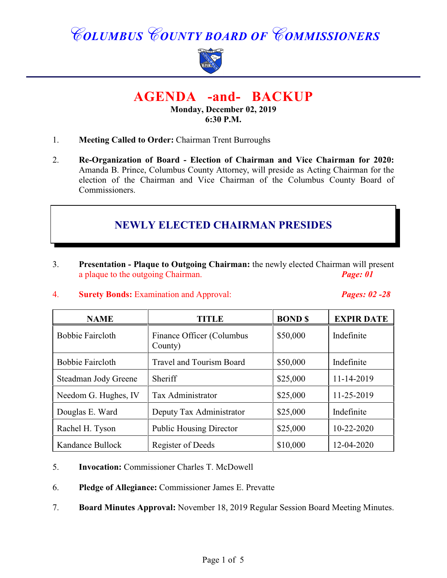# *COLUMBUS COUNTY BOARD OF COMMISSIONERS*



## **AGENDA -and- BACKUP**

#### **Monday, December 02, 2019 6:30 P.M.**

- 1. **Meeting Called to Order:** Chairman Trent Burroughs
- 2. **Re-Organization of Board Election of Chairman and Vice Chairman for 2020:** Amanda B. Prince, Columbus County Attorney, will preside as Acting Chairman for the election of the Chairman and Vice Chairman of the Columbus County Board of Commissioners.

### **NEWLY ELECTED CHAIRMAN PRESIDES**

- 3. **Presentation Plaque to Outgoing Chairman:** the newly elected Chairman will present a plaque to the outgoing Chairman. *Page: 01*
- 4. **Surety Bonds:** Examination and Approval: *Pages: 02 -28*

| <b>NAME</b>             | <b>TITLE</b>                         | <b>BOND</b> <sup>\$</sup> | <b>EXPIR DATE</b> |
|-------------------------|--------------------------------------|---------------------------|-------------------|
| <b>Bobbie Faircloth</b> | Finance Officer (Columbus<br>County) | \$50,000                  | Indefinite        |
| <b>Bobbie Faircloth</b> | <b>Travel and Tourism Board</b>      | \$50,000                  | Indefinite        |
| Steadman Jody Greene    | Sheriff                              | \$25,000                  | 11-14-2019        |
| Needom G. Hughes, IV    | Tax Administrator                    | \$25,000                  | 11-25-2019        |
| Douglas E. Ward         | Deputy Tax Administrator             | \$25,000                  | Indefinite        |
| Rachel H. Tyson         | <b>Public Housing Director</b>       | \$25,000                  | $10 - 22 - 2020$  |
| Kandance Bullock        | Register of Deeds                    | \$10,000                  | 12-04-2020        |

- 5. **Invocation:** Commissioner Charles T. McDowell
- 6. **Pledge of Allegiance:** Commissioner James E. Prevatte
- 7. **Board Minutes Approval:** November 18, 2019 Regular Session Board Meeting Minutes.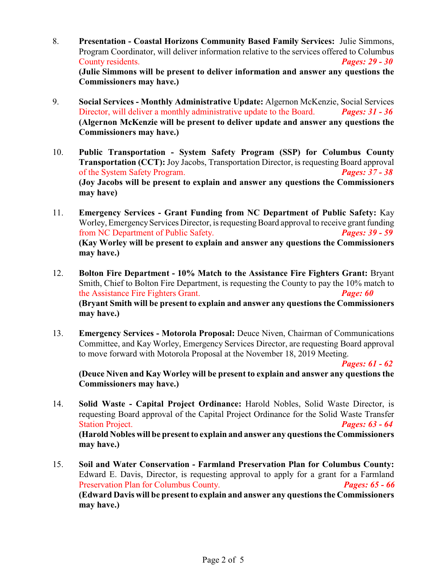- 8. **Presentation Coastal Horizons Community Based Family Services:** Julie Simmons, Program Coordinator, will deliver information relative to the services offered to Columbus County residents. *Pages: 29 - 30* **(Julie Simmons will be present to deliver information and answer any questions the Commissioners may have.)**
- 9. **Social Services Monthly Administrative Update:** Algernon McKenzie, Social Services Director, will deliver a monthly administrative update to the Board. *Pages: 31 - 36* **(Algernon McKenzie will be present to deliver update and answer any questions the Commissioners may have.)**
- 10. **Public Transportation System Safety Program (SSP) for Columbus County Transportation (CCT):** Joy Jacobs, Transportation Director, is requesting Board approval of the System Safety Program. *Pages: 37 - 38* **(Joy Jacobs will be present to explain and answer any questions the Commissioners may have)**
- 11. **Emergency Services - Grant Funding from NC Department of Public Safety:** Kay Worley, Emergency Services Director, is requesting Board approval to receive grant funding from NC Department of Public Safety. *Pages: 39 - 59* **(Kay Worley will be present to explain and answer any questions the Commissioners may have.)**
- 12. **Bolton Fire Department 10% Match to the Assistance Fire Fighters Grant:** Bryant Smith, Chief to Bolton Fire Department, is requesting the County to pay the 10% match to the Assistance Fire Fighters Grant. *Page: 60* **(Bryant Smith will be present to explain and answer any questions the Commissioners may have.)**
- 13. **Emergency Services Motorola Proposal:** Deuce Niven, Chairman of Communications Committee, and Kay Worley, Emergency Services Director, are requesting Board approval to move forward with Motorola Proposal at the November 18, 2019 Meeting.

*Pages: 61 - 62*

**(Deuce Niven and Kay Worley will be present to explain and answer any questions the Commissioners may have.)**

- 14. **Solid Waste Capital Project Ordinance:** Harold Nobles, Solid Waste Director, is requesting Board approval of the Capital Project Ordinance for the Solid Waste Transfer Station Project. *Pages: 63 - 64* **(Harold Nobles will be present to explain and answer any questions the Commissioners may have.)**
- 15. **Soil and Water Conservation Farmland Preservation Plan for Columbus County:** Edward E. Davis, Director, is requesting approval to apply for a grant for a Farmland Preservation Plan for Columbus County. *Pages: 65 - 66* **(Edward Davis will be present to explain and answer any questions the Commissioners may have.)**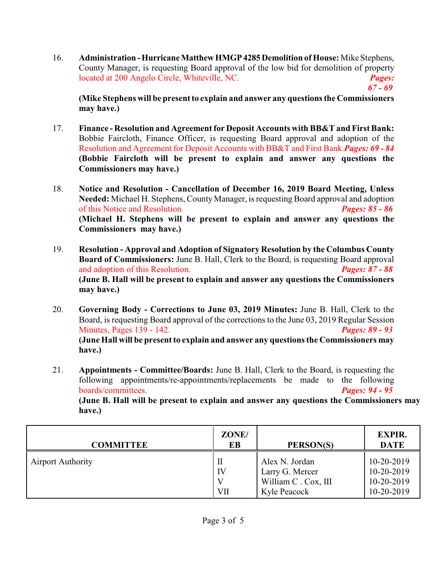16. **Administration - Hurricane Matthew HMGP 4285 Demolition of House:** Mike Stephens, County Manager, is requesting Board approval of the low bid for demolition of property located at 200 Angelo Circle, Whiteville, NC. *Pages: 67 - 69*

**(Mike Stephens will be present to explain and answer any questions the Commissioners may have.)**

- 17. **Finance Resolution and Agreement for Deposit Accounts with BB&T and First Bank:** Bobbie Faircloth, Finance Officer, is requesting Board approval and adoption of the Resolution and Agreement for Deposit Accounts with BB&T and First Bank.*Pages: 69 - 84* **(Bobbie Faircloth will be present to explain and answer any questions the Commissioners may have.)**
- 18. **Notice and Resolution Cancellation of December 16, 2019 Board Meeting, Unless Needed:** Michael H. Stephens, County Manager, is requesting Board approval and adoption of this Notice and Resolution. *Pages: 85 - 86* **(Michael H. Stephens will be present to explain and answer any questions the Commissioners may have.)**
- 19. **Resolution Approval and Adoption of Signatory Resolution by the Columbus County Board of Commissioners:** June B. Hall, Clerk to the Board, is requesting Board approval and adoption of this Resolution. *Pages: 87 - 88* **(June B. Hall will be present to explain and answer any questions the Commissioners may have.)**
- 20. **Governing Body Corrections to June 03, 2019 Minutes:** June B. Hall, Clerk to the Board, is requesting Board approval of the corrections to the June 03, 2019 Regular Session Minutes, Pages 139 - 142. *Pages: 89 - 93* **(June Hall will be present to explain and answer any questions the Commissioners may have.)**
- 21. **Appointments Committee/Boards:** June B. Hall, Clerk to the Board, is requesting the following appointments/re-appointments/replacements be made to the following boards/committees.<br> **Pages: 94 - 95**  $b$ oards/committees.

**(June B. Hall will be present to explain and answer any questions the Commissioners may have.)**

| <b>COMMITTEE</b>         | ZONE/<br>EВ    | PERSON(S)                                                                | <b>EXPIR.</b><br><b>DATE</b>                         |
|--------------------------|----------------|--------------------------------------------------------------------------|------------------------------------------------------|
| <b>Airport Authority</b> | П<br>IV<br>VII | Alex N. Jordan<br>Larry G. Mercer<br>William C. Cox, III<br>Kyle Peacock | 10-20-2019<br>10-20-2019<br>10-20-2019<br>10-20-2019 |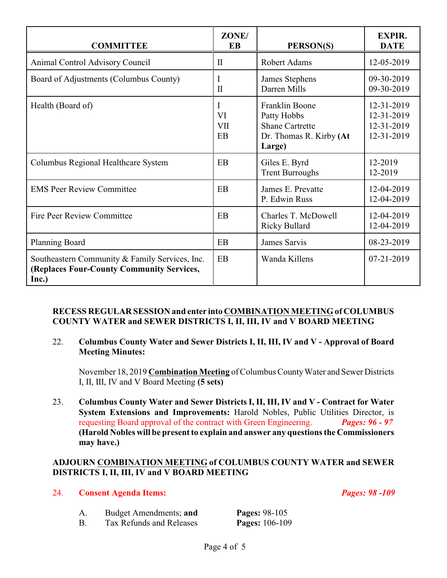| <b>COMMITTEE</b>                                                                                     | ZONE/<br>EB                 | PERSON(S)                                                                                    | <b>EXPIR.</b><br><b>DATE</b>                         |
|------------------------------------------------------------------------------------------------------|-----------------------------|----------------------------------------------------------------------------------------------|------------------------------------------------------|
| <b>Animal Control Advisory Council</b>                                                               | $\mathbf{I}$                | <b>Robert Adams</b>                                                                          | 12-05-2019                                           |
| Board of Adjustments (Columbus County)                                                               | I<br>$\mathbf{I}$           | James Stephens<br>Darren Mills                                                               | 09-30-2019<br>09-30-2019                             |
| Health (Board of)                                                                                    | I<br>VI<br><b>VII</b><br>EB | Franklin Boone<br>Patty Hobbs<br><b>Shane Cartrette</b><br>Dr. Thomas R. Kirby (At<br>Large) | 12-31-2019<br>12-31-2019<br>12-31-2019<br>12-31-2019 |
| Columbus Regional Healthcare System                                                                  | EB                          | Giles E. Byrd<br><b>Trent Burroughs</b>                                                      | 12-2019<br>12-2019                                   |
| <b>EMS Peer Review Committee</b>                                                                     | EB                          | James E. Prevatte<br>P. Edwin Russ                                                           | 12-04-2019<br>12-04-2019                             |
| Fire Peer Review Committee                                                                           | EB                          | Charles T. McDowell<br><b>Ricky Bullard</b>                                                  | 12-04-2019<br>12-04-2019                             |
| <b>Planning Board</b>                                                                                | EB                          | James Sarvis                                                                                 | 08-23-2019                                           |
| Southeastern Community & Family Services, Inc.<br>(Replaces Four-County Community Services,<br>Inc.) | EB                          | Wanda Killens                                                                                | $07 - 21 - 2019$                                     |

#### **RECESS REGULAR SESSION and enter into COMBINATION MEETING of COLUMBUS COUNTY WATER and SEWER DISTRICTS I, II, III, IV and V BOARD MEETING**

#### 22. **Columbus County Water and Sewer Districts I, II, III, IV and V - Approval of Board Meeting Minutes:**

November 18, 2019 **Combination Meeting** of Columbus County Water and Sewer Districts I, II, III, IV and V Board Meeting **(5 sets)**

23. **Columbus County Water and Sewer Districts I, II, III, IV and V - Contract for Water System Extensions and Improvements:** Harold Nobles, Public Utilities Director, is requesting Board approval of the contract with Green Engineering. *Pages: 96 - 97* **(Harold Nobles will be present to explain and answer any questions the Commissioners may have.)**

#### **ADJOURN COMBINATION MEETING of COLUMBUS COUNTY WATER and SEWER DISTRICTS I, II, III, IV and V BOARD MEETING**

#### 24. **Consent Agenda Items:** *Pages: 98 -109*

- A. Budget Amendments; **and Pages:** 98-105
- B. Tax Refunds and Releases **Pages:** 106-109